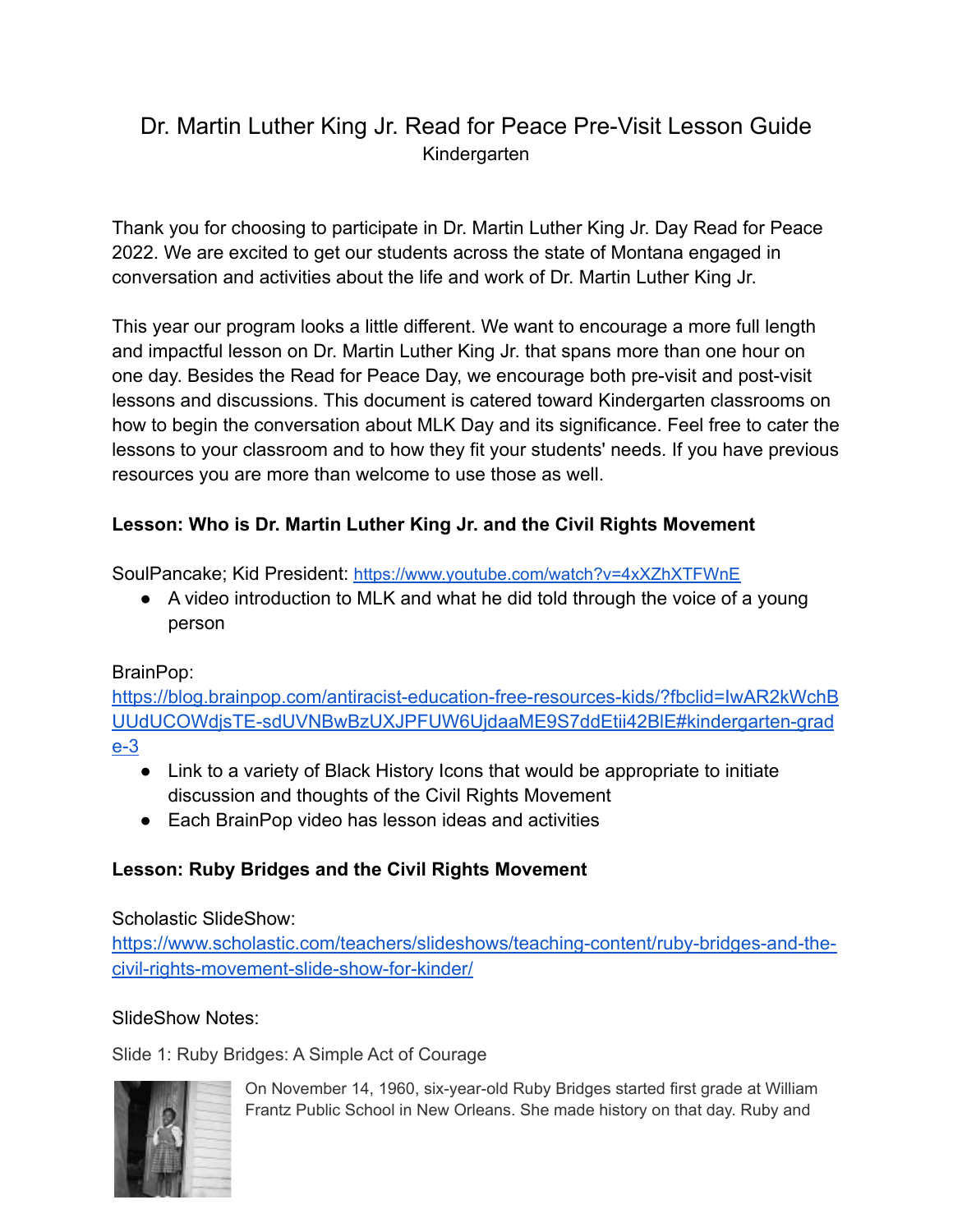# Dr. Martin Luther King Jr. Read for Peace Pre-Visit Lesson Guide Kindergarten

Thank you for choosing to participate in Dr. Martin Luther King Jr. Day Read for Peace 2022. We are excited to get our students across the state of Montana engaged in conversation and activities about the life and work of Dr. Martin Luther King Jr.

This year our program looks a little different. We want to encourage a more full length and impactful lesson on Dr. Martin Luther King Jr. that spans more than one hour on one day. Besides the Read for Peace Day, we encourage both pre-visit and post-visit lessons and discussions. This document is catered toward Kindergarten classrooms on how to begin the conversation about MLK Day and its significance. Feel free to cater the lessons to your classroom and to how they fit your students' needs. If you have previous resources you are more than welcome to use those as well.

# **Lesson: Who is Dr. Martin Luther King Jr. and the Civil Rights Movement**

SoulPancake; Kid President: <https://www.youtube.com/watch?v=4xXZhXTFWnE>

● A video introduction to MLK and what he did told through the voice of a young person

## BrainPop:

[https://blog.brainpop.com/antiracist-education-free-resources-kids/?fbclid=IwAR2kWchB](https://blog.brainpop.com/antiracist-education-free-resources-kids/?fbclid=IwAR2kWchBUUdUCOWdjsTE-sdUVNBwBzUXJPFUW6UjdaaME9S7ddEtii42BlE#kindergarten-grade-3) [UUdUCOWdjsTE-sdUVNBwBzUXJPFUW6UjdaaME9S7ddEtii42BlE#kindergarten-grad](https://blog.brainpop.com/antiracist-education-free-resources-kids/?fbclid=IwAR2kWchBUUdUCOWdjsTE-sdUVNBwBzUXJPFUW6UjdaaME9S7ddEtii42BlE#kindergarten-grade-3) [e-3](https://blog.brainpop.com/antiracist-education-free-resources-kids/?fbclid=IwAR2kWchBUUdUCOWdjsTE-sdUVNBwBzUXJPFUW6UjdaaME9S7ddEtii42BlE#kindergarten-grade-3)

- Link to a variety of Black History Icons that would be appropriate to initiate discussion and thoughts of the Civil Rights Movement
- Each BrainPop video has lesson ideas and activities

# **Lesson: Ruby Bridges and the Civil Rights Movement**

## Scholastic SlideShow:

[https://www.scholastic.com/teachers/slideshows/teaching-content/ruby-bridges-and-the](https://www.scholastic.com/teachers/slideshows/teaching-content/ruby-bridges-and-the-civil-rights-movement-slide-show-for-kinder/)[civil-rights-movement-slide-show-for-kinder/](https://www.scholastic.com/teachers/slideshows/teaching-content/ruby-bridges-and-the-civil-rights-movement-slide-show-for-kinder/)

## SlideShow Notes:

Slide 1: Ruby Bridges: A Simple Act of Courage



On November 14, 1960, six-year-old Ruby Bridges started first grade at William Frantz Public School in New Orleans. She made history on that day. Ruby and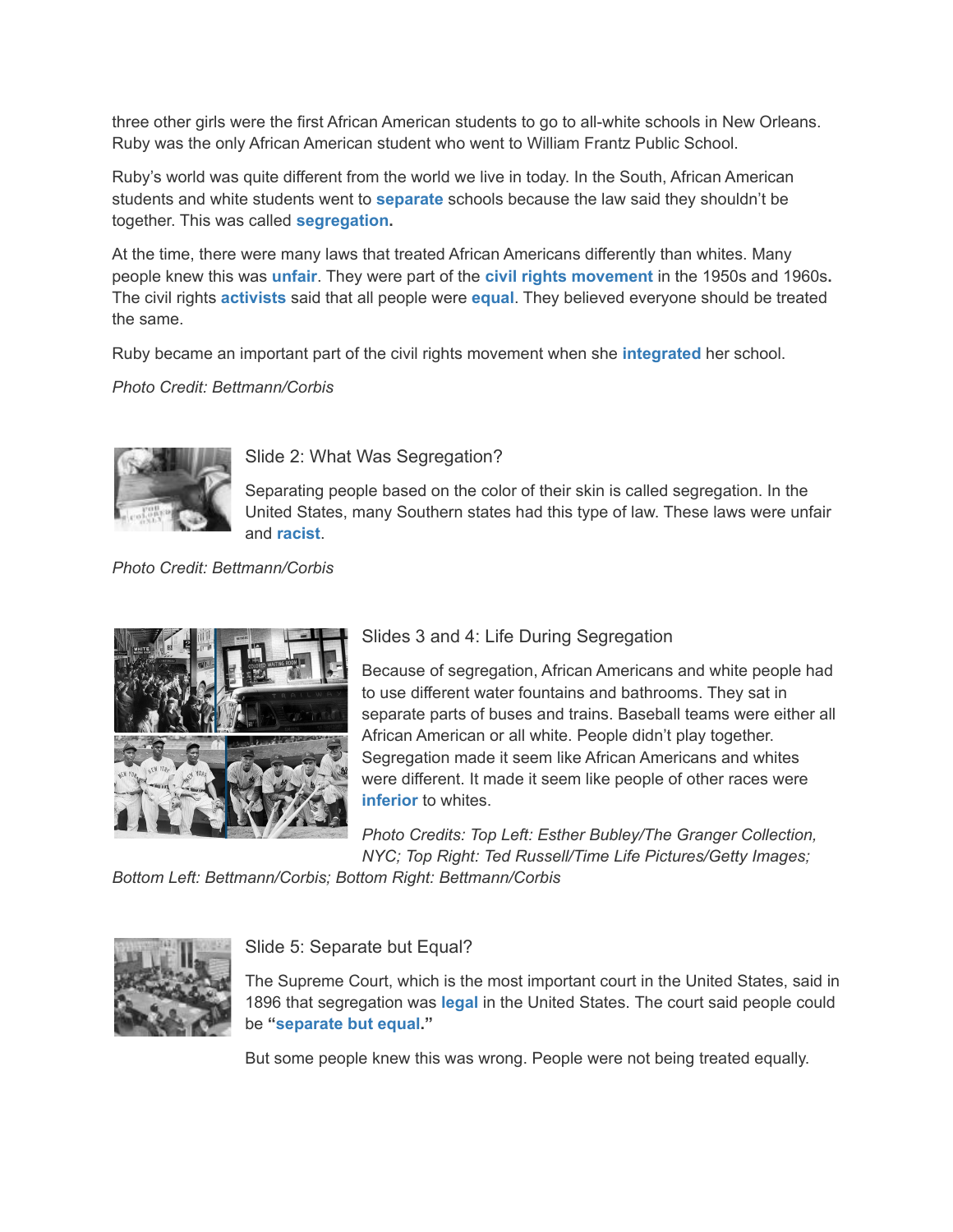three other girls were the first African American students to go to all-white schools in New Orleans. Ruby was the only African American student who went to William Frantz Public School.

Ruby's world was quite different from the world we live in today. In the South, African American students and white students went to **[separate](http://www.scholastic.com/teachers/article/ruby-bridges-and-civil-rights-movement-slide-show-vocabulary-kindergarten-grade-2#separate)** schools because the law said they shouldn't be together. This was called **[segregation.](http://www.scholastic.com/teachers/article/ruby-bridges-and-civil-rights-movement-slide-show-vocabulary-kindergarten-grade-2#segregation)**

At the time, there were many laws that treated African Americans differently than whites. Many people knew this was **[unfair](http://www.scholastic.com/teachers/article/ruby-bridges-and-civil-rights-movement-slide-show-vocabulary-kindergarten-grade-2#unfair)**. They were part of the **[civil rights movement](http://www.scholastic.com/teachers/article/ruby-bridges-and-civil-rights-movement-slide-show-vocabulary-kindergarten-grade-2#civil-rights-movement)** in the 1950s and 1960s**.** The civil rights **[activists](http://www.scholastic.com/teachers/article/ruby-bridges-and-civil-rights-movement-slide-show-vocabulary-kindergarten-grade-2#activist)** said that all people were **[equal](http://www.scholastic.com/teachers/article/ruby-bridges-and-civil-rights-movement-slide-show-vocabulary-kindergarten-grade-2#equal)**. They believed everyone should be treated the same.

Ruby became an important part of the civil rights movement when she **[integrated](http://www.scholastic.com/teachers/article/ruby-bridges-and-civil-rights-movement-slide-show-vocabulary-kindergarten-grade-2#integrate)** her school.

*Photo Credit: Bettmann/Corbis*



## Slide 2: What Was Segregation?

Separating people based on the color of their skin is called segregation. In the United States, many Southern states had this type of law. These laws were unfair and **[racist](http://www.scholastic.com/teachers/article/ruby-bridges-and-civil-rights-movement-slide-show-vocabulary-kindergarten-grade-2#racist)**.

*Photo Credit: Bettmann/Corbis*



## Slides 3 and 4: Life During Segregation

Because of segregation, African Americans and white people had to use different water fountains and bathrooms. They sat in separate parts of buses and trains. Baseball teams were either all African American or all white. People didn't play together. Segregation made it seem like African Americans and whites were different. It made it seem like people of other races were **[inferior](http://www.scholastic.com/teachers/article/ruby-bridges-and-civil-rights-movement-slide-show-vocabulary-kindergarten-grade-2#inferior)** to whites.

*Photo Credits: Top Left: Esther Bubley/The Granger Collection, NYC; Top Right: Ted Russell/Time Life Pictures/Getty Images;*

*Bottom Left: Bettmann/Corbis; Bottom Right: Bettmann/Corbis*



## Slide 5: Separate but Equal?

The Supreme Court, which is the most important court in the United States, said in 1896 that segregation was **[legal](http://www.scholastic.com/teachers/article/ruby-bridges-and-civil-rights-movement-slide-show-vocabulary-kindergarten-grade-2#legal)** in the United States. The court said people could be **["separate but equal](http://www.scholastic.com/teachers/article/ruby-bridges-and-civil-rights-movement-slide-show-vocabulary-kindergarten-grade-2#separate-but-equal)."**

But some people knew this was wrong. People were not being treated equally.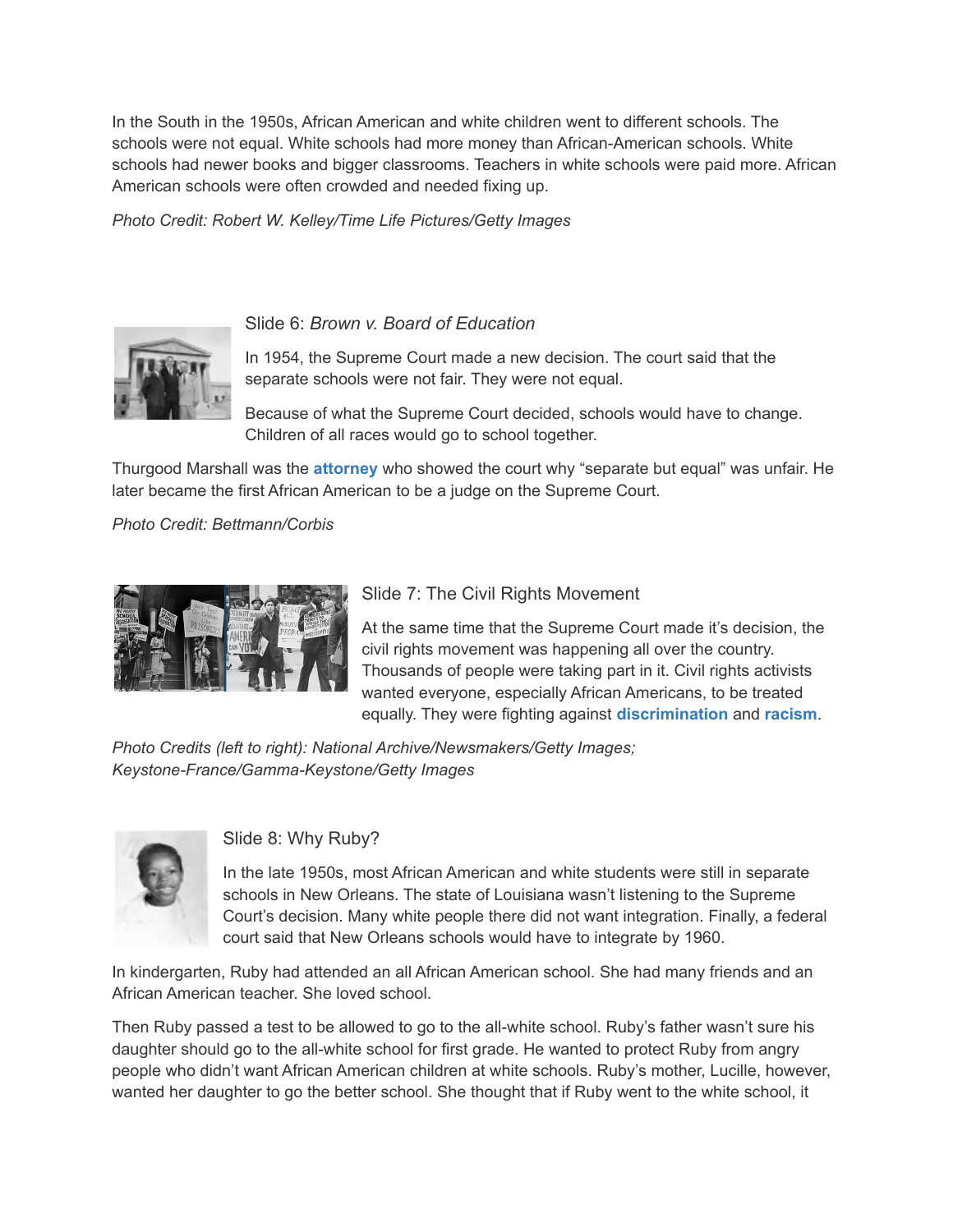In the South in the 1950s, African American and white children went to different schools. The schools were not equal. White schools had more money than African-American schools. White schools had newer books and bigger classrooms. Teachers in white schools were paid more. African American schools were often crowded and needed fixing up.

*Photo Credit: Robert W. Kelley/Time Life Pictures/Getty Images*



#### Slide 6: *Brown v. Board of Education*

In 1954, the Supreme Court made a new decision. The court said that the separate schools were not fair. They were not equal.

Because of what the Supreme Court decided, schools would have to change. Children of all races would go to school together.

Thurgood Marshall was the **[attorney](http://www.scholastic.com/teachers/article/ruby-bridges-and-civil-rights-movement-slide-show-vocabulary-kindergarten-grade-2#attorney)** who showed the court why "separate but equal" was unfair. He later became the first African American to be a judge on the Supreme Court.

*Photo Credit: Bettmann/Corbis*



## Slide 7: The Civil Rights Movement

At the same time that the Supreme Court made it's decision, the civil rights movement was happening all over the country. Thousands of people were taking part in it. Civil rights activists wanted everyone, especially African Americans, to be treated equally. They were fighting against **[discrimination](http://www.scholastic.com/teachers/article/ruby-bridges-and-civil-rights-movement-slide-show-vocabulary-kindergarten-grade-2#discrimination)** and **[racism](http://www.scholastic.com/teachers/article/ruby-bridges-and-civil-rights-movement-slide-show-vocabulary-kindergarten-grade-2#racism)**.

*Photo Credits (left to right): National Archive/Newsmakers/Getty Images; Keystone-France/Gamma-Keystone/Getty Images*



#### Slide 8: Why Ruby?

In the late 1950s, most African American and white students were still in separate schools in New Orleans. The state of Louisiana wasn't listening to the Supreme Court's decision. Many white people there did not want integration. Finally, a federal court said that New Orleans schools would have to integrate by 1960.

In kindergarten, Ruby had attended an all African American school. She had many friends and an African American teacher. She loved school.

Then Ruby passed a test to be allowed to go to the all-white school. Ruby's father wasn't sure his daughter should go to the all-white school for first grade. He wanted to protect Ruby from angry people who didn't want African American children at white schools. Ruby's mother, Lucille, however, wanted her daughter to go the better school. She thought that if Ruby went to the white school, it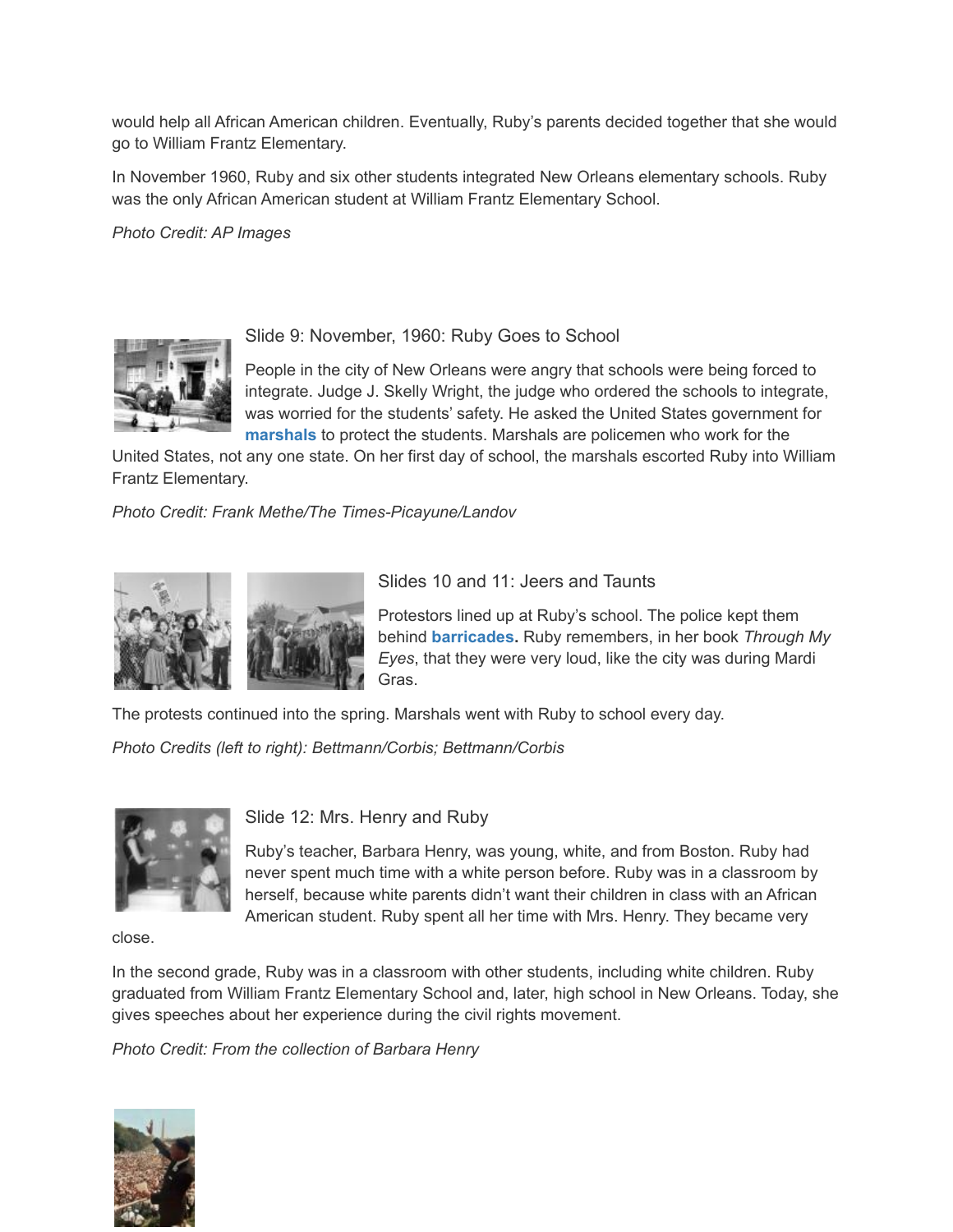would help all African American children. Eventually, Ruby's parents decided together that she would go to William Frantz Elementary.

In November 1960, Ruby and six other students integrated New Orleans elementary schools. Ruby was the only African American student at William Frantz Elementary School.

*Photo Credit: AP Images*



Slide 9: November, 1960: Ruby Goes to School

People in the city of New Orleans were angry that schools were being forced to integrate. Judge J. Skelly Wright, the judge who ordered the schools to integrate, was worried for the students' safety. He asked the United States government for **[marshals](http://www.scholastic.com/teachers/article/ruby-bridges-and-civil-rights-movement-slide-show-vocabulary-kindergarten-grade-2#marshal)** to protect the students. Marshals are policemen who work for the

United States, not any one state. On her first day of school, the marshals escorted Ruby into William Frantz Elementary.

*Photo Credit: Frank Methe/The Times-Picayune/Landov*



Slides 10 and 11: Jeers and Taunts

Protestors lined up at Ruby's school. The police kept them behind **[barricades.](http://www.scholastic.com/teachers/article/ruby-bridges-and-civil-rights-movement-slide-show-vocabulary-kindergarten-grade-2#barricade)** Ruby remembers, in her book *Through My Eyes*, that they were very loud, like the city was during Mardi Gras.

The protests continued into the spring. Marshals went with Ruby to school every day.

*Photo Credits (left to right): Bettmann/Corbis; Bettmann/Corbis*



Slide 12: Mrs. Henry and Ruby

Ruby's teacher, Barbara Henry, was young, white, and from Boston. Ruby had never spent much time with a white person before. Ruby was in a classroom by herself, because white parents didn't want their children in class with an African American student. Ruby spent all her time with Mrs. Henry. They became very

close.

In the second grade, Ruby was in a classroom with other students, including white children. Ruby graduated from William Frantz Elementary School and, later, high school in New Orleans. Today, she gives speeches about her experience during the civil rights movement.

*Photo Credit: From the collection of Barbara Henry*